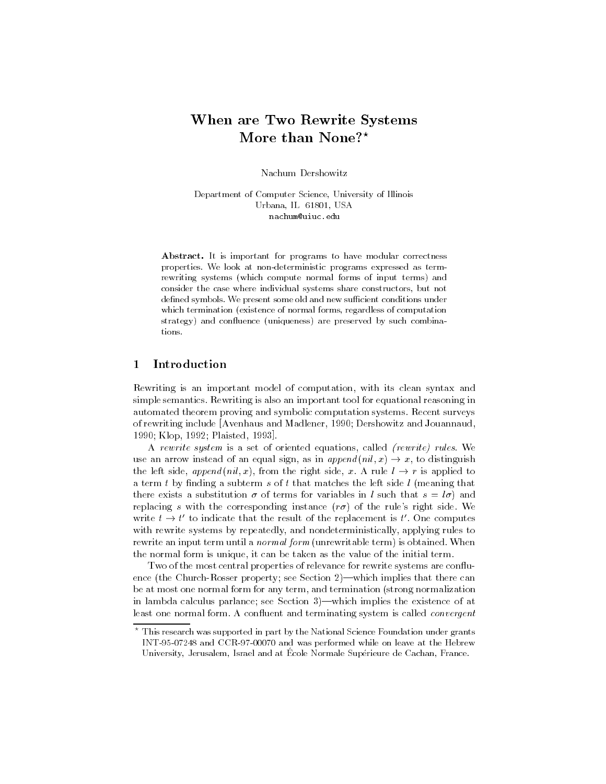# When are Two Rewrite Systems More than None?\*

Nachum Dershowitz

Department of Computer Science, University of Illinois Urbana, IL 61801, USA nachum@uiuc.edu

Abstract. It is important for programs to have modular correctness properties. We look at non-deterministic programs expressed as termrewriting systems (which compute normal forms of input terms) and consider the case where individual systems share constructors, but not defined symbols. We present some old and new sufficient conditions under which termination (existence of normal forms, regardless of computation strategy) and confluence (uniqueness) are preserved by such combinations.

### 1Introduction

Rewriting is an important model of computation, with its clean syntax and simple semantics. Rewriting is also an important tool for equational reasoning in automated theorem proving and symbolic computation systems. Recent surveys of rewriting include [Avenhaus and Madlener, 1990; Dershowitz and Jouannaud, 1990; Klop, 1992; Plaisted, 1993].

A rewrite system is a set of oriented equations, called (rewrite) rules. We use an arrow instead of an equal sign, as in  $append(nil, x) \rightarrow x$ , to distinguish the left side, append (nil, x), from the right side, x. A rule  $l \rightarrow r$  is applied to a term t by finding a subterm s of t that matches the left side  $l$  (meaning that there exists a substitution  $\sigma$  of terms for variables in l such that  $s = l\sigma$ ) and replacing s with the corresponding instance  $(r\sigma)$  of the rule's right side. We write  $t \to t'$  to indicate that the result of the replacement is t'. One computes with rewrite systems by repeatedly, and nondeterministically, applying rules to rewrite an input term until a *normal form* (unrewritable term) is obtained. When the normal form is unique, it can be taken as the value of the initial term.

Two of the most central properties of relevance for rewrite systems are confluence (the Church-Rosser property; see Section  $2$ )—which implies that there can be at most one normal form for any term, and termination (strong normalization in lambda calculus parlance; see Section  $3$ —which implies the existence of at least one normal form. A confluent and terminating system is called *convergent* 

<sup>?</sup> This research was supported in part by the National Science Foundation under grants INT-95-07248 and CCR-97-00070 and was performed while on leave at the Hebrew University, Jerusalem, Israel and at École Normale Supérieure de Cachan, France.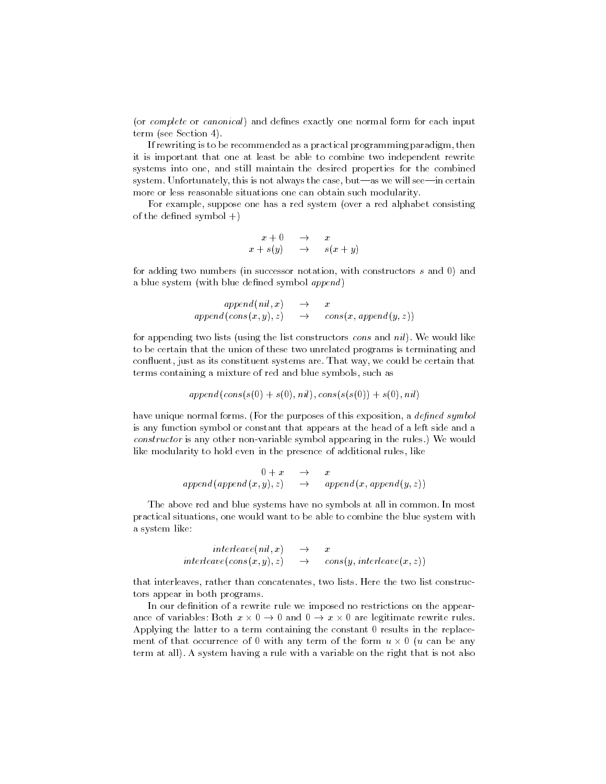(or *complete* or *canonical*) and defines exactly one normal form for each input term (see Section 4).

If rewriting is to be recommended as a practical programming paradigm, then it is important that one at least be able to combine two independent rewrite systems into one, and still maintain the desired properties for the combined system. Unfortunately, this is not always the case, but—as we will see—in certain more or less reasonable situations one can obtain such modularity.

For example, suppose one has a red system (over a red alphabet consisting of the defined symbol  $+$ )

$$
\begin{array}{rcl}\nx + 0 & \rightarrow & x \\
x + s(y) & \rightarrow & s(x + y)\n\end{array}
$$

for adding two numbers (in successor notation, with constructors <sup>s</sup> and 0) and a blue system (with blue defined symbol  $append$ )

$$
append(nil, x) \rightarrow x
$$
  
append(cons(x, y), z) \rightarrow cons(x, append(y, z))

for appending two lists (using the list constructors *cons* and  $nil$ ). We would like to be certain that the union of these two unrelated programs is terminating and confluent, just as its constituent systems are. That way, we could be certain that terms containing a mixture of red and blue symbols, such as

$$
append(cons(s(0) + s(0), nil), cons(s(s(0)) + s(0), nil)
$$

have unique normal forms. (For the purposes of this exposition, a *defined symbol* is any function symbol or constant that appears at the head of a left side and a constructor is any other non-variable symbol appearing in the rules.) We would like modularity to hold even in the presence of additional rules, like

$$
\begin{array}{rcl}\n0 + x & \to & x \\
\text{append}(\text{append}(x, y), z) & \to & \text{append}(x, \text{append}(y, z))\n\end{array}
$$

The above red and blue systems have no symbols at all in common. In most practical situations, one would want to be able to combine the blue system with a system like:

$$
\begin{array}{rcl}\ninterleave(nil,x) & \to & x \\
interleave(cos(x,y),z) & \to & cons(y, interleave(x,z))\n\end{array}
$$

that interleaves, rather than concatenates, two lists. Here the two list constructors appear in both programs.

In our definition of a rewrite rule we imposed no restrictions on the appearance of variables: Both  $x \times 0 \rightarrow 0$  and  $0 \rightarrow x \times 0$  are legitimate rewrite rules. Applying the latter to a term containing the constant 0 results in the replace ment of that occurrence of U with any term of the form  $u \times U$  ( $u$  can be any term at all). A system having a rule with a variable on the right that is not also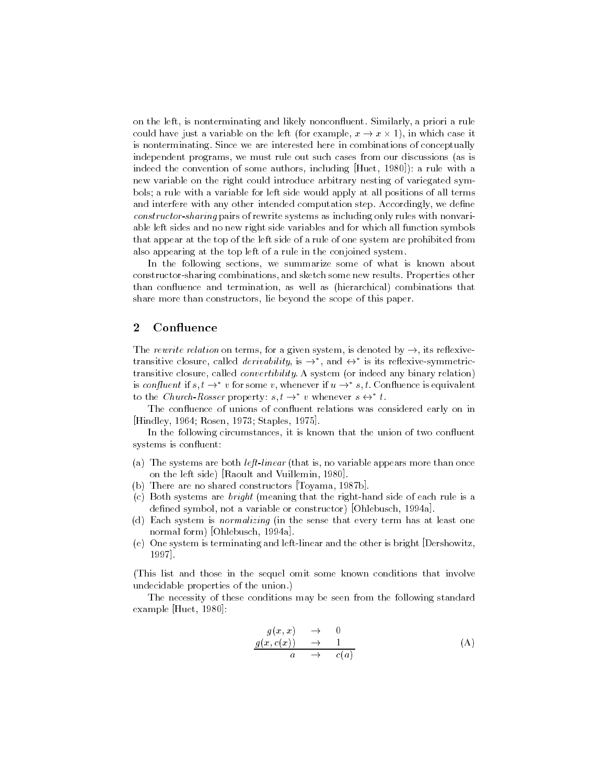on the left, is nonterminating and likely nonconfluent. Similarly, a priori a rule could have just a variable on the left (for example,  $x \to x \times 1$ ), in which case it is nonterminating. Since we are interested here in combinations of conceptually independent programs, we must rule out such cases from our discussions (as is indeed the convention of some authors, including [Huet, 1980]): a rule with a new variable on the right could introduce arbitrary nesting of variegated symbols; a rule with a variable for left side would apply at all positions of all terms and interfere with any other intended computation step. Accordingly, we define construction-sharing pairs of rewrite share systems as including only rules with non-late able left sides and no new right side variables and for which all function symbols that appear at the top of the left side of a rule of one system are prohibited from also appearing at the top left of a rule in the conjoined system.

In the following sections, we summarize some of what is known about constructor-sharing combinations, and sketch some new results. Properties other than con
uence and termination, as well as (hierarchical) combinations that share more than constructors, lie beyond the scope of this paper.

#### 2Confluence

The rewrite relation on terms, for a given system, is denoted by  $\rightarrow$ , its reflexivetransitive closure, called *derivability*, is  $\rightarrow$  , and  $\leftrightarrow$  is its reflexive-symmetrictransitive closure, called convertibility. A system (or indeed any binary relation) is confluent if  $s, t \to^* v$  for some v, whenever if  $u \to^* s, t$ . Confluence is equivalent to the Church-Rosser property:  $s, t \rightarrow v$  whenever  $s \leftrightarrow t$ .

The confluence of unions of confluent relations was considered early on in [Hindley, 1964; Rosen, 1973; Staples, 1975].

In the following circumstances, it is known that the union of two confluent systems is confluent:

- (a) The systems are both left-linear (that is, no variable appears more than once on the left side) [Raoult and Vuillemin, 1980].
- (b) There are no shared constructors [Toyama, 1987b].
- (c) Both systems are bright (meaning that the right-hand side of each rule is a defined symbol, not a variable or constructor) [Ohlebusch, 1994a].
- (d) Each system is normalizing (in the sense that every term has at least one normal form) [Ohlebusch, 1994a].
- (e) One system is terminating and left-linear and the other is bright [Dershowitz, 1997].

(This list and those in the sequel omit some known conditions that involve undecidable properties of the union.)

The necessity of these conditions may be seen from the following standard example [Huet, 1980]:

$$
g(x, x) \rightarrow 0\n g(x, c(x)) \rightarrow 1\n a \rightarrow c(a)
$$
\n(A)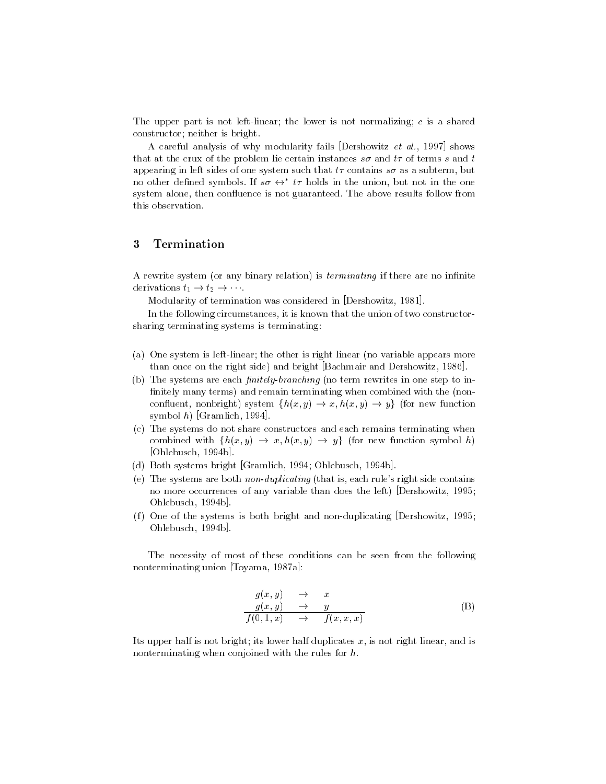The upper part is not left-linear; the lower is not normalizing; <sup>c</sup> is a shared constructor; neither is bright.

A careful analysis of why modularity fails [Dershowitz et al., 1997] shows that at the crux of the problem lie certain instances  $s\sigma$  and  $t\tau$  of terms s and t appearing in left sides of one system such that  $t\tau$  contains  $s\sigma$  as a subterm, but no other defined symbols. If  $s\sigma \leftrightarrow t\tau$  holds in the union, but not in the one system alone, then confluence is not guaranteed. The above results follow from this observation.

### 3Termination

A rewrite system (or any binary relation) is *terminating* if there are no infinite derivations  $t_1 \rightarrow t_2 \rightarrow \cdots$ .

Modularity of termination was considered in [Dershowitz, 1981].

In the following circumstances, it is known that the union of two constructorsharing terminating systems is terminating:

- (a) One system is left-linear; the other is right linear (no variable appears more than once on the right side) and bright [Bachmair and Dershowitz, 1986].
- (b) The systems are each  $finitely-branching$  (no term rewrites in one step to infinitely many terms) and remain terminating when combined with the (nonconfluent, nonbright) system  $\{h(x,y) \rightarrow x, h(x,y) \rightarrow y\}$  (for new function symbol h) [Gramlich, 1994].
- (c) The systems do not share constructors and each remains terminating when combined with  $\{h(x, y) \rightarrow x, h(x, y) \rightarrow y\}$  (for new function symbol h) [Ohlebusch, 1994b].
- (d) Both systems bright [Gramlich, 1994; Ohlebusch, 1994b].
- (e) The systems are both non-duplicating (that is, each rule's right side contains no more occurrences of any variable than does the left) [Dershowitz, 1995; Ohlebusch, 1994b].
- (f) One of the systems is both bright and non-duplicating [Dershowitz, 1995; Ohlebusch, 1994b].

The necessity of most of these conditions can be seen from the following nonterminating union [Toyama, 1987a]:

$$
g(x, y) \rightarrow x
$$
  
\n
$$
g(x, y) \rightarrow y
$$
  
\n
$$
f(0, 1, x) \rightarrow f(x, x, x)
$$
  
\n(B)

Its upper half is not bright; its lower half duplicates  $x$ , is not right linear, and is nonterminating when conjoined with the rules for h.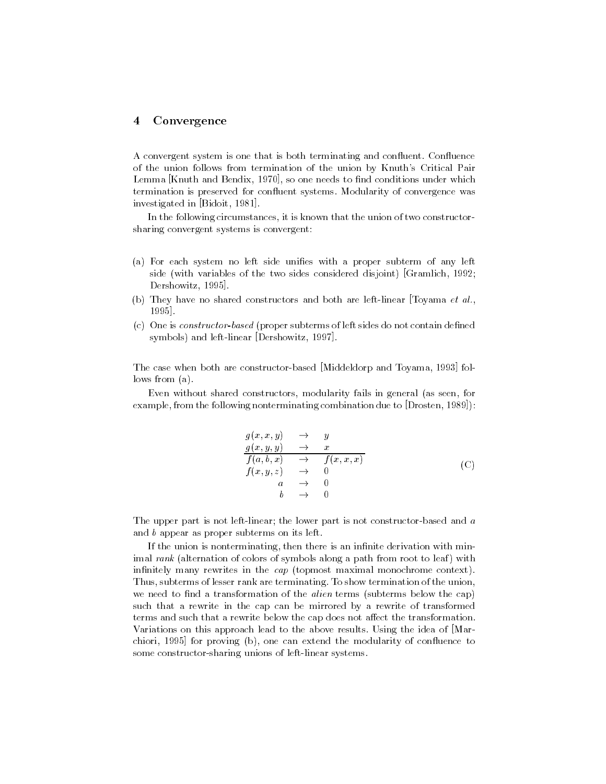#### 4Convergence

A convergent system is one that is both terminating and confluent. Confluence of the union follows from termination of the union by Knuth's Critical Pair Lemma [Knuth and Bendix, 1970], so one needs to find conditions under which termination is preserved for confluent systems. Modularity of convergence was investigated in [Bidoit, 1981].

In the following circumstances, it is known that the union of two constructorsharing convergent systems is convergent:

- (a) For each system no left side unifies with a proper subterm of any left side (with variables of the two sides considered disjoint) [Gramlich, 1992; Dershowitz, 1995].
- (b) They have no shared constructors and both are left-linear [Toyama et al., 1995].
- (c) One is constructor-based (proper subterms of left sides do not contain defined symbols) and left-linear [Dershowitz, 1997].

The case when both are constructor-based [Middeldorp and Toyama, 1993] follows from (a).

Even without shared constructors, modularity fails in general (as seen, for example, from the following nonterminating combination due to [Drosten, 1989]):

$$
g(x, x, y) \rightarrow y
$$
  
\n
$$
g(x, y, y) \rightarrow x
$$
  
\n
$$
f(a, b, x) \rightarrow f(x, x, x)
$$
  
\n
$$
f(x, y, z) \rightarrow 0
$$
  
\n
$$
a \rightarrow 0
$$
  
\n
$$
b \rightarrow 0
$$
  
\n(C)

The upper part is not left-linear; the lower part is not constructor-based and <sup>a</sup> and <sup>b</sup> appear as proper subterms on its left.

If the union is nonterminating, then there is an infinite derivation with minimal rank (alternation of colors of symbols along a path from root to leaf) with infinitely many rewrites in the cap (topmost maximal monochrome context). Thus, subterms of lesser rank are terminating. To show termination of the union, we need to find a transformation of the *alien* terms (subterms below the cap) such that a rewrite in the cap can be mirrored by a rewrite of transformed terms and such that a rewrite below the cap does not affect the transformation. Variations on this approach lead to the above results. Using the idea of [Marchiori, 1995] for proving (b), one can extend the modularity of confluence to some constructor-sharing unions of left-linear systems.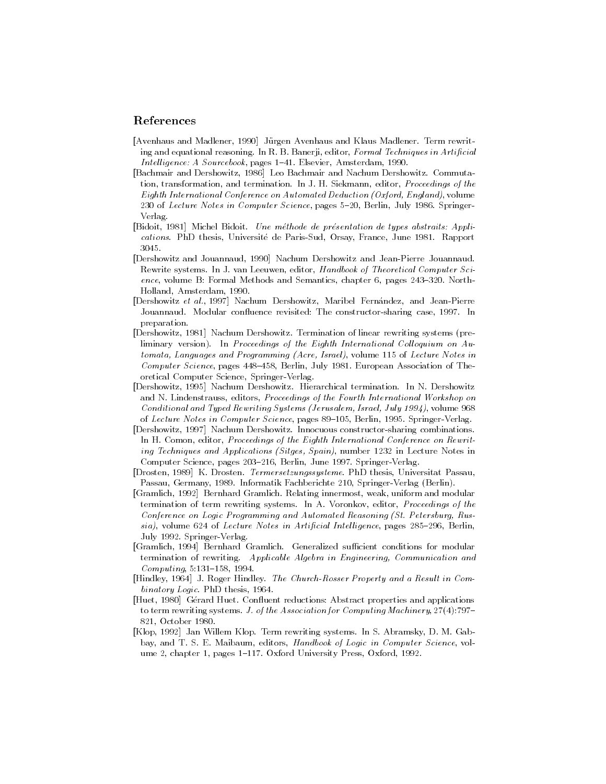## References

- [Avenhaus and Madlener, 1990] Jurgen Avenhaus and Klaus Madlener. Term rewriting and equational reasoning. In R. B. Banerji, editor, Formal Techniques in Artificial Intelligence: A Sourcebook, pages 1-41. Elsevier, Amsterdam, 1990.
- [Bachmair and Dershowitz, 1986] Leo Bachmair and Nachum Dershowitz. Commutation, transformation, and termination. In J. H. Siekmann, editor, Proceedings of the Eighth International Conference on Automated Deduction (Oxford, England), volume 230 of Lecture Notes in Computer Science, pages 5-20, Berlin, July 1986. Springer-Verlag.
- [Bidoit, 1981] Michel Bidoit. Une methode de presentation de types abstraits: Applications. PhD thesis, Universite de Paris-Sud, Orsay, France, June 1981. Rapport 3045
- [Dershowitz and Jouannaud, 1990] Nachum Dershowitz and Jean-Pierre Jouannaud. Rewrite systems. In J. van Leeuwen, editor, Handbook of Theoretical Computer Science, volume B: Formal Methods and Semantics, chapter 6, pages  $243-320$ . North-Holland, Amsterdam, 1990.
- [Dershowitz et al., 1997] Nachum Dershowitz, Maribel Fernandez, and Jean-Pierre Jouannaud. Modular confluence revisited: The constructor-sharing case, 1997. In preparation.
- [Dershowitz, 1981] Nachum Dershowitz. Termination of linear rewriting systems (preliminary version). In Proceedings of the Eighth International Colloquium on  $Au$ tomata, Languages and Programming (Acre, Israel), volume 115 of Lecture Notes in Computer Science, pages 448-458, Berlin, July 1981. European Association of Theoretical Computer Science, Springer-Verlag.
- [Dershowitz, 1995] Nachum Dershowitz. Hierarchical termination. In N. Dershowitz and N. Lindenstrauss, editors, Proceedings of the Fourth International Workshop on Conditional and Typed Rewriting Systems (Jerusalem, Israel, July 1994), volume 968 of Lecture Notes in Computer Science, pages 89-105, Berlin, 1995. Springer-Verlag.
- [Dershowitz, 1997] Nachum Dershowitz. Innocuous constructor-sharing combinations. In H. Comon, editor, Proceedings of the Eighth International Conference on Rewriting Techniques and Applications (Sitges, Spain), number 1232 in Lecture Notes in Computer Science, pages 203-216, Berlin, June 1997. Springer-Verlag.
- [Drosten, 1989] K. Drosten. Termersetzungssysteme. PhD thesis, Universitat Passau, Passau, Germany, 1989. Informatik Fachberichte 210, Springer-Verlag (Berlin).
- [Gramlich, 1992] Bernhard Gramlich. Relating innermost, weak, uniform and modular termination of term rewriting systems. In A. Voronkov, editor, Proceedings of the Conference on Logic Programming and Automated Reasoning (St. Petersburg, Rus $sia$ , volume 624 of Lecture Notes in Artificial Intelligence, pages 285-296, Berlin, July 1992. Springer-Verlag.
- [Gramlich, 1994] Bernhard Gramlich. Generalized sufficient conditions for modular termination of rewriting. Applicable Algebra in Engineering, Communication and Computing, 5:131-158, 1994.
- [Hindley, 1964] J. Roger Hindley. The Church-Rosser Property and a Result in Combinatory Logic. PhD thesis, 1964.
- [Huet, 1980] Gérard Huet. Confluent reductions: Abstract properties and applications to term rewriting systems. J. of the Association for Computing Machinery,  $27(4)$ :797-821, October 1980.
- [Klop, 1992] Jan Willem Klop. Term rewriting systems. In S. Abramsky, D. M. Gabbay, and T. S. E. Maibaum, editors, Handbook of Logic in Computer Science, volume 2, chapter 1, pages 1-117. Oxford University Press, Oxford, 1992.